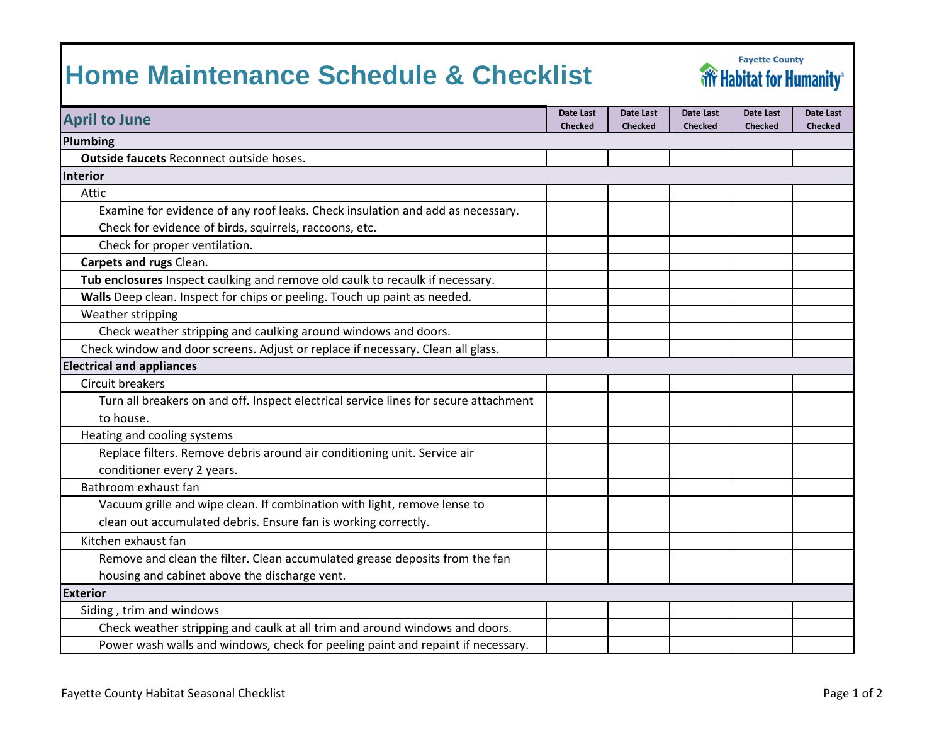## **Home Maintenance Schedule & Checklist**



| <b>April to June</b>                                                                 | Date Last<br><b>Checked</b> | Date Last<br><b>Checked</b> | Date Last<br><b>Checked</b> | Date Last<br><b>Checked</b> | Date Last<br><b>Checked</b> |
|--------------------------------------------------------------------------------------|-----------------------------|-----------------------------|-----------------------------|-----------------------------|-----------------------------|
| Plumbing                                                                             |                             |                             |                             |                             |                             |
| Outside faucets Reconnect outside hoses.                                             |                             |                             |                             |                             |                             |
| <b>Interior</b>                                                                      |                             |                             |                             |                             |                             |
| Attic                                                                                |                             |                             |                             |                             |                             |
| Examine for evidence of any roof leaks. Check insulation and add as necessary.       |                             |                             |                             |                             |                             |
| Check for evidence of birds, squirrels, raccoons, etc.                               |                             |                             |                             |                             |                             |
| Check for proper ventilation.                                                        |                             |                             |                             |                             |                             |
| Carpets and rugs Clean.                                                              |                             |                             |                             |                             |                             |
| Tub enclosures Inspect caulking and remove old caulk to recaulk if necessary.        |                             |                             |                             |                             |                             |
| Walls Deep clean. Inspect for chips or peeling. Touch up paint as needed.            |                             |                             |                             |                             |                             |
| Weather stripping                                                                    |                             |                             |                             |                             |                             |
| Check weather stripping and caulking around windows and doors.                       |                             |                             |                             |                             |                             |
| Check window and door screens. Adjust or replace if necessary. Clean all glass.      |                             |                             |                             |                             |                             |
| <b>Electrical and appliances</b>                                                     |                             |                             |                             |                             |                             |
| <b>Circuit breakers</b>                                                              |                             |                             |                             |                             |                             |
| Turn all breakers on and off. Inspect electrical service lines for secure attachment |                             |                             |                             |                             |                             |
| to house.                                                                            |                             |                             |                             |                             |                             |
| Heating and cooling systems                                                          |                             |                             |                             |                             |                             |
| Replace filters. Remove debris around air conditioning unit. Service air             |                             |                             |                             |                             |                             |
| conditioner every 2 years.                                                           |                             |                             |                             |                             |                             |
| Bathroom exhaust fan                                                                 |                             |                             |                             |                             |                             |
| Vacuum grille and wipe clean. If combination with light, remove lense to             |                             |                             |                             |                             |                             |
| clean out accumulated debris. Ensure fan is working correctly.                       |                             |                             |                             |                             |                             |
| Kitchen exhaust fan                                                                  |                             |                             |                             |                             |                             |
| Remove and clean the filter. Clean accumulated grease deposits from the fan          |                             |                             |                             |                             |                             |
| housing and cabinet above the discharge vent.                                        |                             |                             |                             |                             |                             |
| <b>Exterior</b>                                                                      |                             |                             |                             |                             |                             |
| Siding, trim and windows                                                             |                             |                             |                             |                             |                             |
| Check weather stripping and caulk at all trim and around windows and doors.          |                             |                             |                             |                             |                             |
| Power wash walls and windows, check for peeling paint and repaint if necessary.      |                             |                             |                             |                             |                             |